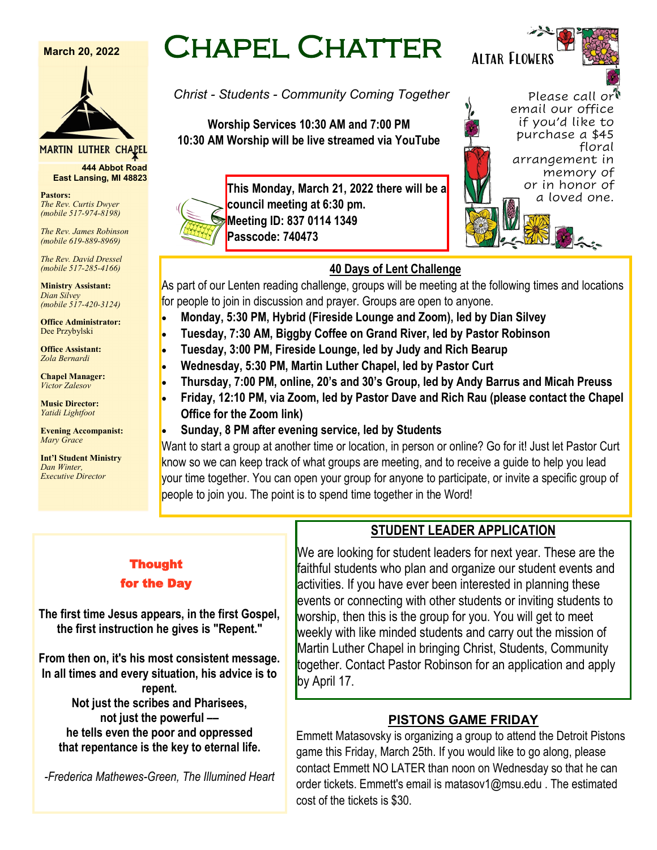#### **March 20, 2022**



#### MARTIN LUTHER CHAPEL

**444 Abbot Road East Lansing, MI 48823**

**Pastors:** *The Rev. Curtis Dwyer (mobile 517-974-8198)*

*The Rev. James Robinson (mobile 619-889-8969)*

*The Rev. David Dressel (mobile 517-285-4166)*

**Ministry Assistant:**  *Dian Silvey (mobile 517-420-3124)*

**Office Administrator:** Dee Przybylski

**Office Assistant:** *Zola Bernardi*

**Chapel Manager:** *Victor Zalesov*

**Music Director:** *Yatidi Lightfoot* 

**Evening Accompanist:** *Mary Grace*

**Int'l Student Ministry** *Dan Winter, Executive Director*

# Chapel Chatter

*Christ - Students - Community Coming Together*

**Worship Services 10:30 AM and 7:00 PM 10:30 AM Worship will be live streamed via YouTube**



**This Monday, March 21, 2022 there will be a council meeting at 6:30 pm. Meeting ID: 837 0114 1349 Passcode: 740473**



## **40 Days of Lent Challenge**

As part of our Lenten reading challenge, groups will be meeting at the following times and locations for people to join in discussion and prayer. Groups are open to anyone.

- **Monday, 5:30 PM, Hybrid (Fireside Lounge and Zoom), led by Dian Silvey**
- **Tuesday, 7:30 AM, Biggby Coffee on Grand River, led by Pastor Robinson**
- **Tuesday, 3:00 PM, Fireside Lounge, led by Judy and Rich Bearup**
- **Wednesday, 5:30 PM, Martin Luther Chapel, led by Pastor Curt**
- **Thursday, 7:00 PM, online, 20's and 30's Group, led by Andy Barrus and Micah Preuss**
- **Friday, 12:10 PM, via Zoom, led by Pastor Dave and Rich Rau (please contact the Chapel Office for the Zoom link)**
- **Sunday, 8 PM after evening service, led by Students**

Want to start a group at another time or location, in person or online? Go for it! Just let Pastor Curt know so we can keep track of what groups are meeting, and to receive a guide to help you lead your time together. You can open your group for anyone to participate, or invite a specific group of people to join you. The point is to spend time together in the Word!

## Thought for the Day

**The first time Jesus appears, in the first Gospel, the first instruction he gives is "Repent."**

**From then on, it's his most consistent message. In all times and every situation, his advice is to repent. Not just the scribes and Pharisees, not just the powerful –– he tells even the poor and oppressed** 

**that repentance is the key to eternal life.**

*-Frederica Mathewes-Green, The Illumined Heart*

## **STUDENT LEADER APPLICATION**

We are looking for student leaders for next year. These are the faithful students who plan and organize our student events and activities. If you have ever been interested in planning these events or connecting with other students or inviting students to worship, then this is the group for you. You will get to meet weekly with like minded students and carry out the mission of Martin Luther Chapel in bringing Christ, Students, Community together. Contact Pastor Robinson for an application and apply by April 17.

## **PISTONS GAME FRIDAY**

Emmett Matasovsky is organizing a group to attend the Detroit Pistons game this Friday, March 25th. If you would like to go along, please contact Emmett NO LATER than noon on Wednesday so that he can order tickets. Emmett's email is matasov1@msu.edu . The estimated cost of the tickets is \$30.

Altar Flowers